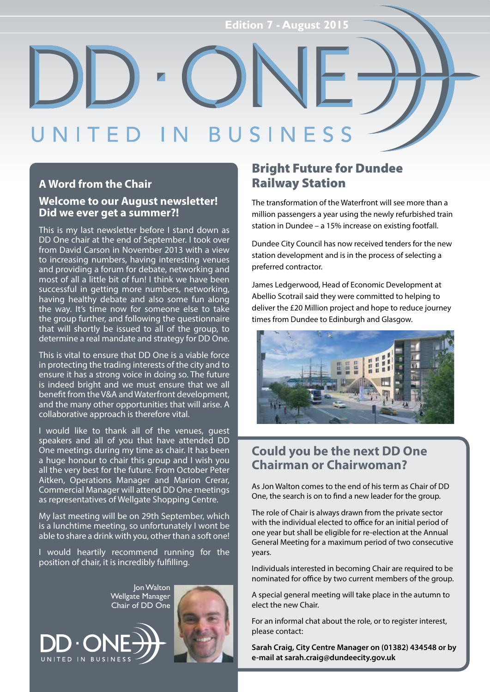#### R NESS

#### **A Word from the Chair**

#### **Welcome to our August newsletter! Did we ever get a summer?!**

This is my last newsletter before I stand down as DD One chair at the end of September. I took over from David Carson in November 2013 with a view to increasing numbers, having interesting venues and providing a forum for debate, networking and most of all a little bit of fun! I think we have been successful in getting more numbers, networking, having healthy debate and also some fun along the way. It's time now for someone else to take the group further, and following the questionnaire that will shortly be issued to all of the group, to determine a real mandate and strategy for DD One.

This is vital to ensure that DD One is a viable force in protecting the trading interests of the city and to ensure it has a strong voice in doing so. The future is indeed bright and we must ensure that we all benefit from the V&A and Waterfront development, and the many other opportunities that will arise. A collaborative approach is therefore vital.

I would like to thank all of the venues, guest speakers and all of you that have attended DD One meetings during my time as chair. It has been a huge honour to chair this group and I wish you all the very best for the future. From October Peter Aitken, Operations Manager and Marion Crerar, Commercial Manager will attend DD One meetings as representatives of Wellgate Shopping Centre.

My last meeting will be on 29th September, which is a lunchtime meeting, so unfortunately I wont be able to share a drink with you, other than a soft one!

I would heartily recommend running for the position of chair, it is incredibly fulfilling.



#### Bright Future for Dundee Railway Station

The transformation of the Waterfront will see more than a million passengers a year using the newly refurbished train station in Dundee – a 15% increase on existing footfall.

Dundee City Council has now received tenders for the new station development and is in the process of selecting a preferred contractor.

James Ledgerwood, Head of Economic Development at Abellio Scotrail said they were committed to helping to deliver the £20 Million project and hope to reduce journey times from Dundee to Edinburgh and Glasgow.



#### **Could you be the next DD One Chairman or Chairwoman?**

As Jon Walton comes to the end of his term as Chair of DD One, the search is on to find a new leader for the group.

The role of Chair is always drawn from the private sector with the individual elected to office for an initial period of one year but shall be eligible for re-election at the Annual General Meeting for a maximum period of two consecutive years.

Individuals interested in becoming Chair are required to be nominated for office by two current members of the group.

A special general meeting will take place in the autumn to elect the new Chair.

For an informal chat about the role, or to register interest, please contact:

**Sarah Craig, City Centre Manager on (01382) 434548 or by e-mail at sarah.craig@dundeecity.gov.uk**

Jon Walton Wellgate Manager Chair of DD One

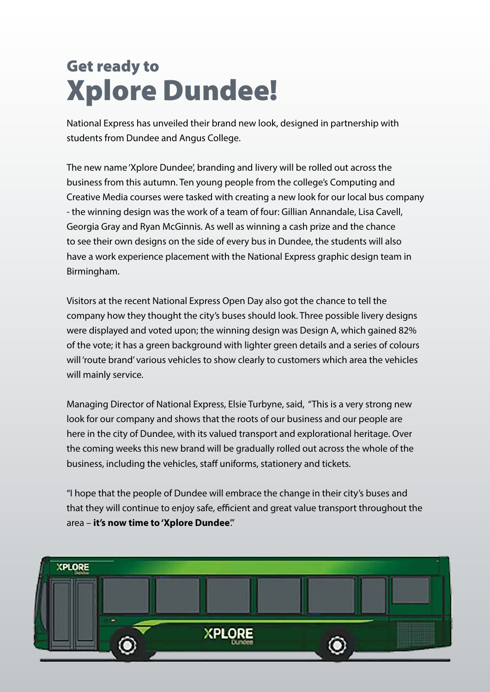# Get ready to Xplore Dundee!

National Express has unveiled their brand new look, designed in partnership with students from Dundee and Angus College.

The new name 'Xplore Dundee', branding and livery will be rolled out across the business from this autumn. Ten young people from the college's Computing and Creative Media courses were tasked with creating a new look for our local bus company - the winning design was the work of a team of four: Gillian Annandale, Lisa Cavell, Georgia Gray and Ryan McGinnis. As well as winning a cash prize and the chance to see their own designs on the side of every bus in Dundee, the students will also have a work experience placement with the National Express graphic design team in Birmingham.

Visitors at the recent National Express Open Day also got the chance to tell the company how they thought the city's buses should look. Three possible livery designs were displayed and voted upon; the winning design was Design A, which gained 82% of the vote; it has a green background with lighter green details and a series of colours will 'route brand' various vehicles to show clearly to customers which area the vehicles will mainly service.

Managing Director of National Express, Elsie Turbyne, said, "This is a very strong new look for our company and shows that the roots of our business and our people are here in the city of Dundee, with its valued transport and explorational heritage. Over the coming weeks this new brand will be gradually rolled out across the whole of the business, including the vehicles, staff uniforms, stationery and tickets.

"I hope that the people of Dundee will embrace the change in their city's buses and that they will continue to enjoy safe, efficient and great value transport throughout the area – **it's now time to 'Xplore Dundee**'."

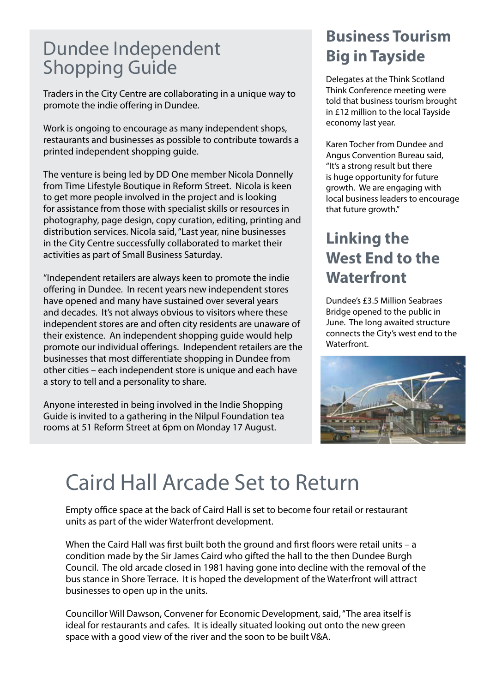# Dundee Independent Shopping Guide

Traders in the City Centre are collaborating in a unique way to promote the indie offering in Dundee.

Work is ongoing to encourage as many independent shops, restaurants and businesses as possible to contribute towards a printed independent shopping guide.

The venture is being led by DD One member Nicola Donnelly from Time Lifestyle Boutique in Reform Street. Nicola is keen to get more people involved in the project and is looking for assistance from those with specialist skills or resources in photography, page design, copy curation, editing, printing and distribution services. Nicola said, ''Last year, nine businesses in the City Centre successfully collaborated to market their activities as part of Small Business Saturday.

''Independent retailers are always keen to promote the indie offering in Dundee. In recent years new independent stores have opened and many have sustained over several years and decades. It's not always obvious to visitors where these independent stores are and often city residents are unaware of their existence. An independent shopping guide would help promote our individual offerings. Independent retailers are the businesses that most differentiate shopping in Dundee from other cities – each independent store is unique and each have a story to tell and a personality to share.

Anyone interested in being involved in the Indie Shopping Guide is invited to a gathering in the Nilpul Foundation tea rooms at 51 Reform Street at 6pm on Monday 17 August.

### **Business Tourism Big in Tayside**

Delegates at the Think Scotland Think Conference meeting were told that business tourism brought in £12 million to the local Tayside economy last year.

Karen Tocher from Dundee and Angus Convention Bureau said, ''It's a strong result but there is huge opportunity for future growth. We are engaging with local business leaders to encourage that future growth.''

#### **Linking the West End to the Waterfront**

Dundee's £3.5 Million Seabraes Bridge opened to the public in June. The long awaited structure connects the City's west end to the Waterfront.



# Caird Hall Arcade Set to Return

Empty office space at the back of Caird Hall is set to become four retail or restaurant units as part of the wider Waterfront development.

When the Caird Hall was first built both the ground and first floors were retail units – a condition made by the Sir James Caird who gifted the hall to the then Dundee Burgh Council. The old arcade closed in 1981 having gone into decline with the removal of the bus stance in Shore Terrace. It is hoped the development of the Waterfront will attract businesses to open up in the units.

Councillor Will Dawson, Convener for Economic Development, said, ''The area itself is ideal for restaurants and cafes. It is ideally situated looking out onto the new green space with a good view of the river and the soon to be built V&A.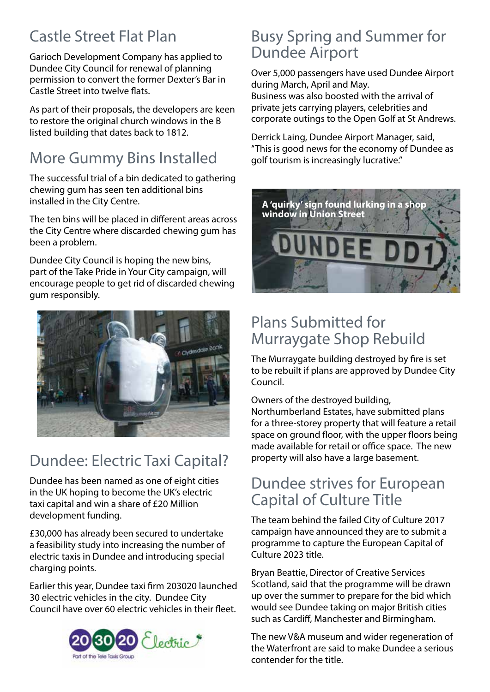## Castle Street Flat Plan

Garioch Development Company has applied to Dundee City Council for renewal of planning permission to convert the former Dexter's Bar in Castle Street into twelve flats.

As part of their proposals, the developers are keen to restore the original church windows in the B listed building that dates back to 1812.

# More Gummy Bins Installed

The successful trial of a bin dedicated to gathering chewing gum has seen ten additional bins installed in the City Centre.

The ten bins will be placed in different areas across the City Centre where discarded chewing gum has been a problem.

Dundee City Council is hoping the new bins, part of the Take Pride in Your City campaign, will encourage people to get rid of discarded chewing gum responsibly.



# Dundee: Electric Taxi Capital?

Dundee has been named as one of eight cities in the UK hoping to become the UK's electric taxi capital and win a share of £20 Million development funding.

£30,000 has already been secured to undertake a feasibility study into increasing the number of electric taxis in Dundee and introducing special charging points.

Earlier this year, Dundee taxi firm 203020 launched 30 electric vehicles in the city. Dundee City Council have over 60 electric vehicles in their fleet.



#### Busy Spring and Summer for Dundee Airport

Over 5,000 passengers have used Dundee Airport during March, April and May. Business was also boosted with the arrival of private jets carrying players, celebrities and corporate outings to the Open Golf at St Andrews.

Derrick Laing, Dundee Airport Manager, said, ''This is good news for the economy of Dundee as golf tourism is increasingly lucrative.''



### Plans Submitted for Murraygate Shop Rebuild

The Murraygate building destroyed by fire is set to be rebuilt if plans are approved by Dundee City Council.

Owners of the destroyed building, Northumberland Estates, have submitted plans for a three-storey property that will feature a retail space on ground floor, with the upper floors being made available for retail or office space. The new property will also have a large basement.

#### Dundee strives for European Capital of Culture Title

The team behind the failed City of Culture 2017 campaign have announced they are to submit a programme to capture the European Capital of Culture 2023 title.

Bryan Beattie, Director of Creative Services Scotland, said that the programme will be drawn up over the summer to prepare for the bid which would see Dundee taking on major British cities such as Cardiff, Manchester and Birmingham.

The new V&A museum and wider regeneration of the Waterfront are said to make Dundee a serious contender for the title.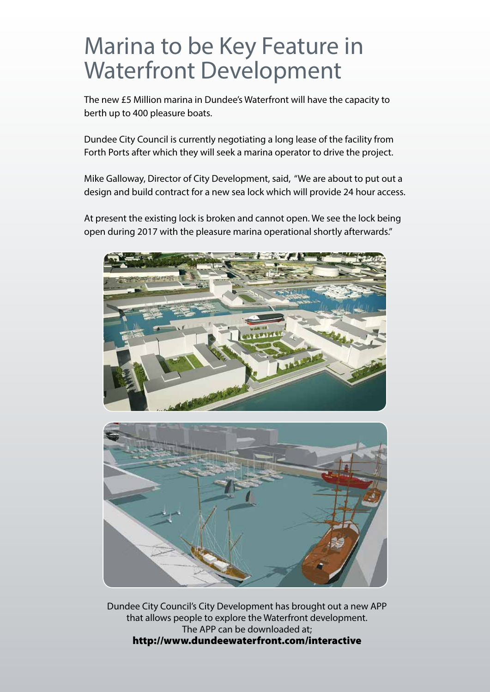# Marina to be Key Feature in Waterfront Development

The new £5 Million marina in Dundee's Waterfront will have the capacity to berth up to 400 pleasure boats.

Dundee City Council is currently negotiating a long lease of the facility from Forth Ports after which they will seek a marina operator to drive the project.

Mike Galloway, Director of City Development, said, ''We are about to put out a design and build contract for a new sea lock which will provide 24 hour access.

At present the existing lock is broken and cannot open. We see the lock being open during 2017 with the pleasure marina operational shortly afterwards.''





Dundee City Council's City Development has brought out a new APP that allows people to explore the Waterfront development. The APP can be downloaded at; http://www.dundeewaterfront.com/interactive